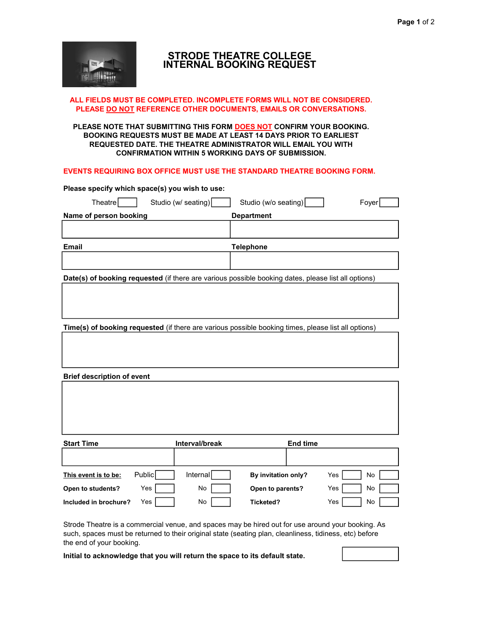

# STRODE THEATRE COLLEGE INTERNAL BOOKING REQUEST

# ALL FIELDS MUST BE COMPLETED. INCOMPLETE FORMS WILL NOT BE CONSIDERED. PLEASE DO NOT REFERENCE OTHER DOCUMENTS, EMAILS OR CONVERSATIONS.

# PLEASE NOTE THAT SUBMITTING THIS FORM DOES NOT CONFIRM YOUR BOOKING. BOOKING REQUESTS MUST BE MADE AT LEAST 14 DAYS PRIOR TO EARLIEST REQUESTED DATE. THE THEATRE ADMINISTRATOR WILL EMAIL YOU WITH CONFIRMATION WITHIN 5 WORKING DAYS OF SUBMISSION.

# EVENTS REQUIRING BOX OFFICE MUST USE THE STANDARD THEATRE BOOKING FORM.

| Please specify which space(s) you wish to use: |                                                                                                     |       |  |  |  |
|------------------------------------------------|-----------------------------------------------------------------------------------------------------|-------|--|--|--|
| Studio (w/ seating)<br>TheatreI                | Studio (w/o seating)                                                                                | Fover |  |  |  |
| Name of person booking                         | <b>Department</b>                                                                                   |       |  |  |  |
|                                                |                                                                                                     |       |  |  |  |
| <b>Email</b>                                   | Telephone                                                                                           |       |  |  |  |
|                                                |                                                                                                     |       |  |  |  |
|                                                | Date(s) of booking requested (if there are various possible booking dates, please list all options) |       |  |  |  |

Time(s) of booking requested (if there are various possible booking times, please list all options)

Brief description of event

| <b>Start Time</b>     |        | Interval/break | <b>End time</b>     |           |
|-----------------------|--------|----------------|---------------------|-----------|
|                       |        |                |                     |           |
| This event is to be:  | Public | Internall      | By invitation only? | No<br>Yes |
| Open to students?     | Yes    | No             | Open to parents?    | Yes<br>No |
| Included in brochure? | Yes    | No             | Ticketed?           | Yes<br>No |

Strode Theatre is a commercial venue, and spaces may be hired out for use around your booking. As such, spaces must be returned to their original state (seating plan, cleanliness, tidiness, etc) before the end of your booking.

Initial to acknowledge that you will return the space to its default state.